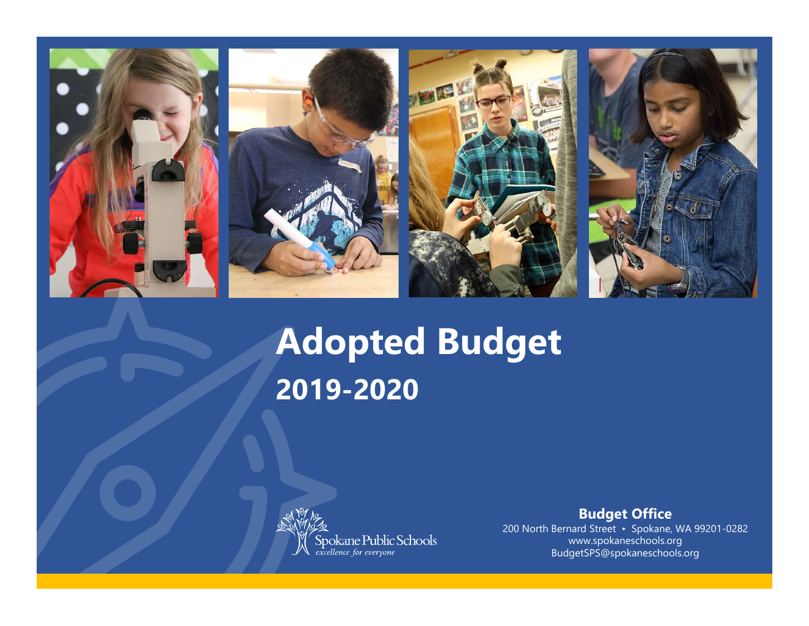

# **Adopted Budget 2019-2020**



**Budget Office**

200 North Bernard Street • Spokane, WA 99201-0282 www.spokaneschools.org BudgetSPS@spokaneschools.org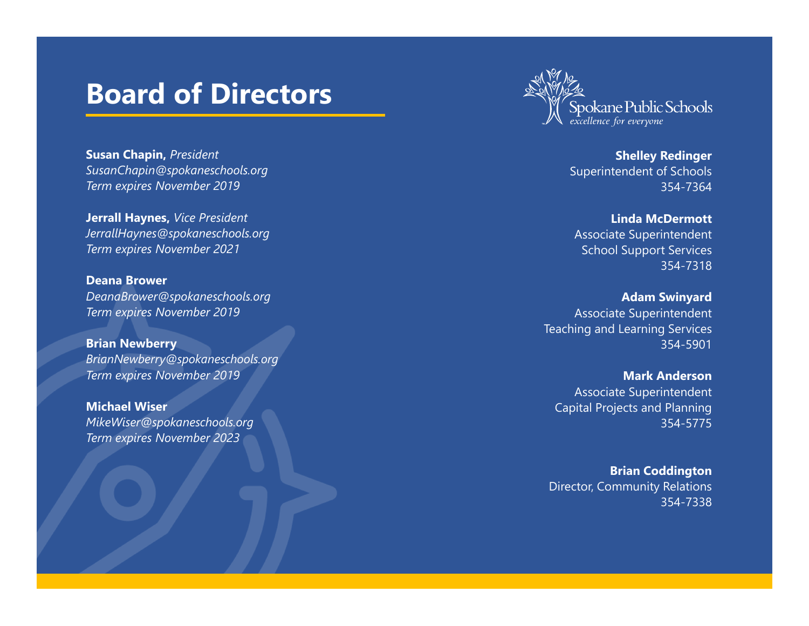#### **Board of Directors**



**Susan Chapin,** *President SusanChapin@spokaneschools.org Term expires November 2019*

**Jerrall Haynes,** *Vice President JerrallHaynes@spokaneschools.org Term expires November 2021*

**Deana Brower** *DeanaBrower@spokaneschools.org Term expires November 2019*

**Brian Newberry** *BrianNewberry@spokaneschools.org Term expires November 2019*

**Michael Wiser***MikeWiser@spokaneschools.org Term expires November 2023*

**Shelley Redinger** Superintendent of Schools 354-7364

**Linda McDermott**Associate Superintendent School Support Services 354-7318

**Adam Swinyard** Associate Superintendent Teaching and Learning Services 354-5901

**Mark Anderson**Associate Superintendent Capital Projects and Planning 354-5775

**Brian Coddington** Director, Community Relations 354-7338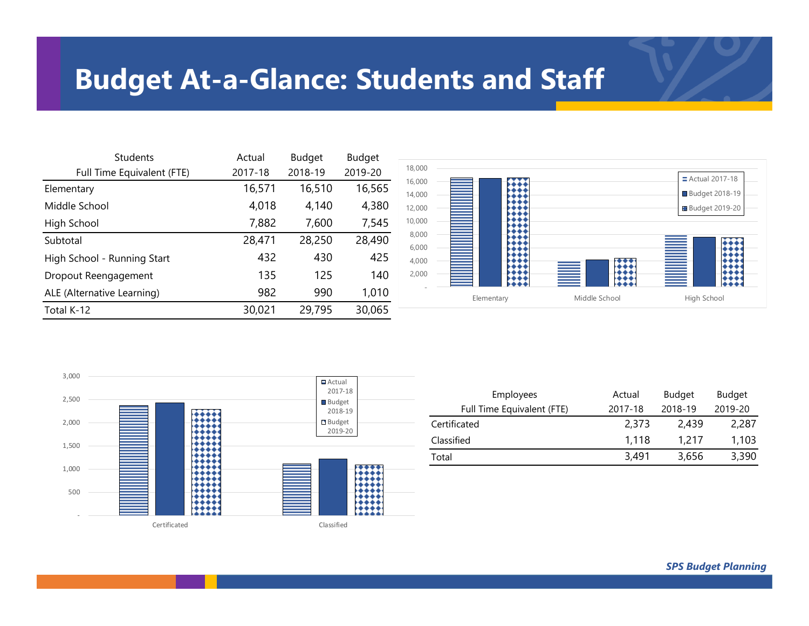### **Budget At-a-Glance: Students and Staff**

| <b>Students</b>             | Actual  | <b>Budget</b> | <b>Budget</b> |
|-----------------------------|---------|---------------|---------------|
| Full Time Equivalent (FTE)  | 2017-18 | 2018-19       | 2019-20       |
| Elementary                  | 16,571  | 16,510        | 16,565        |
| Middle School               | 4,018   | 4,140         | 4,380         |
| High School                 | 7,882   | 7,600         | 7,545         |
| Subtotal                    | 28,471  | 28,250        | 28,490        |
| High School - Running Start | 432     | 430           | 425           |
| Dropout Reengagement        | 135     | 125           | 140           |
| ALE (Alternative Learning)  | 982     | 990           | 1,010         |
| Total K-12                  | 30,021  | 29,795        | 30,065        |





| Employees                  | Actual  | <b>Budget</b> | Budget  |
|----------------------------|---------|---------------|---------|
| Full Time Equivalent (FTE) | 2017-18 | 2018-19       | 2019-20 |
| Certificated               | 2.373   | 2.439         | 2,287   |
| Classified                 | 1.118   | 1.217         | 1,103   |
| Total                      | 3,491   | 3,656         | 3,390   |

*SPS Budget Planning*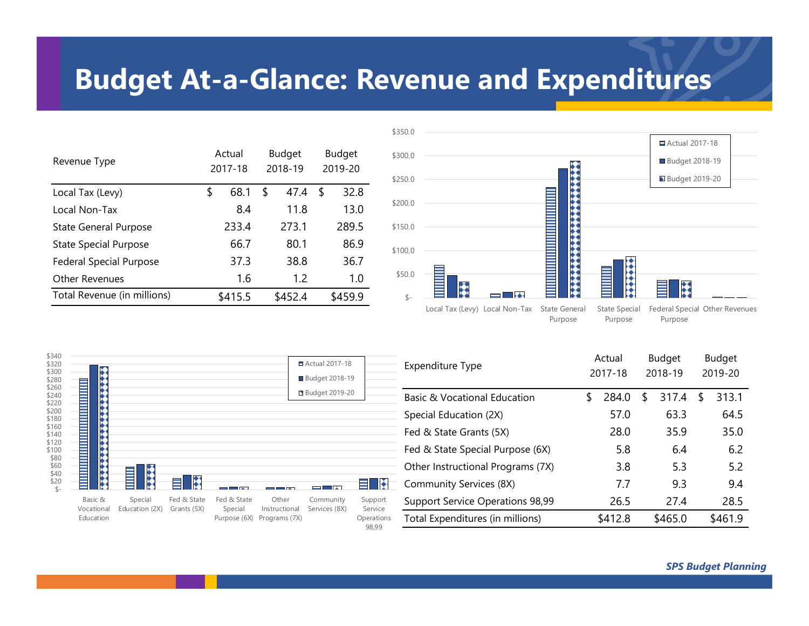### **Budget At-a-Glance: Revenue and Expenditures**

| Revenue Type                   | Actual<br>2017-18 | Budget<br>2018-19 | <b>Budget</b><br>2019-20 |         |  |
|--------------------------------|-------------------|-------------------|--------------------------|---------|--|
| Local Tax (Levy)               | \$<br>68.1        | \$<br>47.4        | S                        | 32.8    |  |
| Local Non-Tax                  | 8.4               | 11.8              |                          | 13.0    |  |
| <b>State General Purpose</b>   | 233.4             | 273.1             |                          | 289.5   |  |
| <b>State Special Purpose</b>   | 66.7              | 80.1              |                          | 86.9    |  |
| <b>Federal Special Purpose</b> | 37.3              | 38.8              |                          | 36.7    |  |
| Other Revenues                 | 1.6               | 1.2               |                          | 1.0     |  |
| Total Revenue (in millions)    | \$415.5           | \$452.4           |                          | \$459.9 |  |



Purpose

Purpose

Purpose

| \$340<br>\$320<br>\$300<br>\$280<br>\$260 |                       |                           | ■ Actual 2017-18<br><b>Budget 2018-19</b> |                        | Expenditure Type       |                            | Actual<br>2017-18   |                                   | <b>Budget</b><br>2018-19 |         | Budget<br>2019-20 |         |  |         |
|-------------------------------------------|-----------------------|---------------------------|-------------------------------------------|------------------------|------------------------|----------------------------|---------------------|-----------------------------------|--------------------------|---------|-------------------|---------|--|---------|
| \$240<br>\$220                            |                       |                           |                                           |                        |                        | <b>Budget 2019-20</b>      |                     | Basic & Vocational Education      |                          | 284.0   |                   | 317.4   |  | 313.1   |
| \$200<br>\$180                            |                       |                           |                                           |                        |                        |                            |                     | Special Education (2X)            |                          | 57.0    |                   | 63.3    |  | 64.5    |
| \$160<br>\$140                            |                       |                           |                                           |                        |                        |                            |                     | Fed & State Grants (5X)           |                          | 28.0    |                   | 35.9    |  | 35.0    |
| \$120<br>\$100<br>\$80                    |                       |                           |                                           |                        |                        |                            |                     | Fed & State Special Purpose (6X)  |                          | 5.8     |                   | 6.4     |  | 6.2     |
| $$60$<br>\$40                             | *****                 |                           |                                           |                        |                        |                            |                     | Other Instructional Programs (7X) |                          | 3.8     |                   | 5.3     |  | 5.2     |
| \$20                                      |                       | 12222<br>$\equiv$         | k<br>Ξ                                    | $\blacksquare$         |                        | — N                        | <b>ENX</b>          | Community Services (8X)           |                          | 7.7     |                   | 9.3     |  | 9.4     |
|                                           | Basic &<br>Vocational | Special<br>Education (2X) | Fed & State<br>Grants (5X)                | Fed & State<br>Special | Other<br>Instructional | Community<br>Services (8X) | Support<br>Service  | Support Service Operations 98,99  |                          | 26.5    |                   | 27.4    |  | 28.5    |
|                                           | Education             |                           |                                           | Purpose (6X)           | Programs (7X)          |                            | Operations<br>98,99 | Total Expenditures (in millions)  |                          | \$412.8 |                   | \$465.0 |  | \$461.9 |